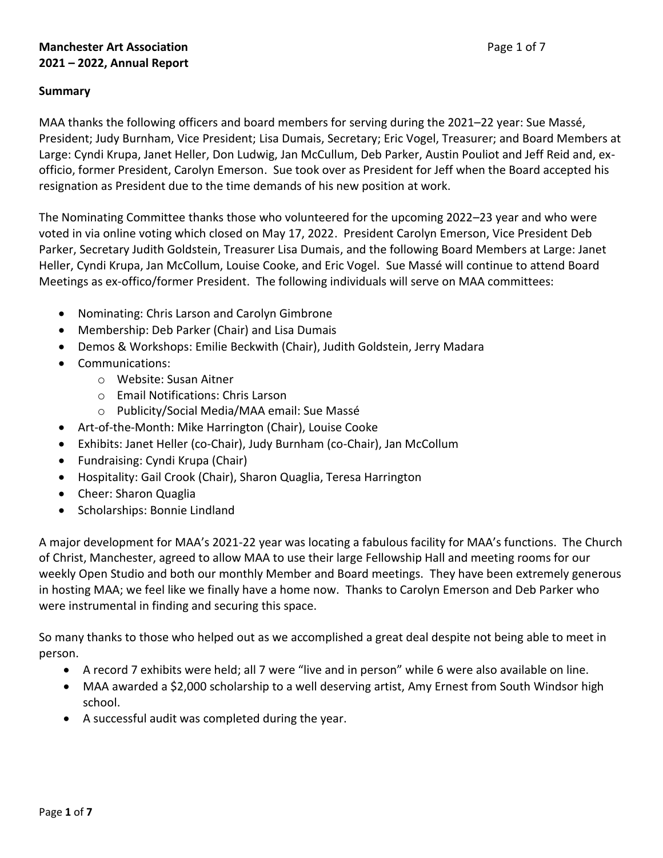# **Manchester Art Association Page 1 of 7 2021 – 2022, Annual Report**

## **Summary**

MAA thanks the following officers and board members for serving during the 2021–22 year: Sue Massé, President; Judy Burnham, Vice President; Lisa Dumais, Secretary; Eric Vogel, Treasurer; and Board Members at Large: Cyndi Krupa, Janet Heller, Don Ludwig, Jan McCullum, Deb Parker, Austin Pouliot and Jeff Reid and, exofficio, former President, Carolyn Emerson. Sue took over as President for Jeff when the Board accepted his resignation as President due to the time demands of his new position at work.

The Nominating Committee thanks those who volunteered for the upcoming 2022–23 year and who were voted in via online voting which closed on May 17, 2022. President Carolyn Emerson, Vice President Deb Parker, Secretary Judith Goldstein, Treasurer Lisa Dumais, and the following Board Members at Large: Janet Heller, Cyndi Krupa, Jan McCollum, Louise Cooke, and Eric Vogel. Sue Massé will continue to attend Board Meetings as ex-offico/former President. The following individuals will serve on MAA committees:

- Nominating: Chris Larson and Carolyn Gimbrone
- Membership: Deb Parker (Chair) and Lisa Dumais
- Demos & Workshops: Emilie Beckwith (Chair), Judith Goldstein, Jerry Madara
- Communications:
	- o Website: Susan Aitner
	- o Email Notifications: Chris Larson
	- o Publicity/Social Media/MAA email: Sue Massé
- Art-of-the-Month: Mike Harrington (Chair), Louise Cooke
- Exhibits: Janet Heller (co-Chair), Judy Burnham (co-Chair), Jan McCollum
- Fundraising: Cyndi Krupa (Chair)
- Hospitality: Gail Crook (Chair), Sharon Quaglia, Teresa Harrington
- Cheer: Sharon Quaglia
- Scholarships: Bonnie Lindland

A major development for MAA's 2021-22 year was locating a fabulous facility for MAA's functions. The Church of Christ, Manchester, agreed to allow MAA to use their large Fellowship Hall and meeting rooms for our weekly Open Studio and both our monthly Member and Board meetings. They have been extremely generous in hosting MAA; we feel like we finally have a home now. Thanks to Carolyn Emerson and Deb Parker who were instrumental in finding and securing this space.

So many thanks to those who helped out as we accomplished a great deal despite not being able to meet in person.

- A record 7 exhibits were held; all 7 were "live and in person" while 6 were also available on line.
- MAA awarded a \$2,000 scholarship to a well deserving artist, Amy Ernest from South Windsor high school.
- A successful audit was completed during the year.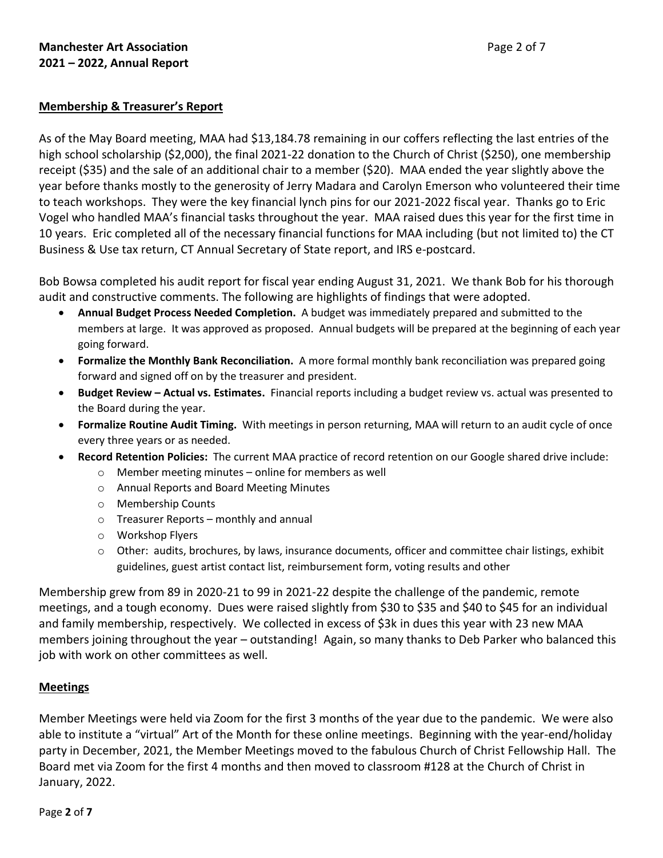## **Membership & Treasurer's Report**

As of the May Board meeting, MAA had \$13,184.78 remaining in our coffers reflecting the last entries of the high school scholarship (\$2,000), the final 2021-22 donation to the Church of Christ (\$250), one membership receipt (\$35) and the sale of an additional chair to a member (\$20). MAA ended the year slightly above the year before thanks mostly to the generosity of Jerry Madara and Carolyn Emerson who volunteered their time to teach workshops. They were the key financial lynch pins for our 2021-2022 fiscal year. Thanks go to Eric Vogel who handled MAA's financial tasks throughout the year. MAA raised dues this year for the first time in 10 years. Eric completed all of the necessary financial functions for MAA including (but not limited to) the CT Business & Use tax return, CT Annual Secretary of State report, and IRS e-postcard.

Bob Bowsa completed his audit report for fiscal year ending August 31, 2021. We thank Bob for his thorough audit and constructive comments. The following are highlights of findings that were adopted.

- **Annual Budget Process Needed Completion.** A budget was immediately prepared and submitted to the members at large. It was approved as proposed. Annual budgets will be prepared at the beginning of each year going forward.
- **Formalize the Monthly Bank Reconciliation.** A more formal monthly bank reconciliation was prepared going forward and signed off on by the treasurer and president.
- **Budget Review – Actual vs. Estimates.** Financial reports including a budget review vs. actual was presented to the Board during the year.
- **Formalize Routine Audit Timing.** With meetings in person returning, MAA will return to an audit cycle of once every three years or as needed.
- **Record Retention Policies:** The current MAA practice of record retention on our Google shared drive include:
	- o Member meeting minutes online for members as well
	- o Annual Reports and Board Meeting Minutes
	- o Membership Counts
	- o Treasurer Reports monthly and annual
	- o Workshop Flyers
	- $\circ$  Other: audits, brochures, by laws, insurance documents, officer and committee chair listings, exhibit guidelines, guest artist contact list, reimbursement form, voting results and other

Membership grew from 89 in 2020-21 to 99 in 2021-22 despite the challenge of the pandemic, remote meetings, and a tough economy. Dues were raised slightly from \$30 to \$35 and \$40 to \$45 for an individual and family membership, respectively. We collected in excess of \$3k in dues this year with 23 new MAA members joining throughout the year – outstanding! Again, so many thanks to Deb Parker who balanced this job with work on other committees as well.

### **Meetings**

Member Meetings were held via Zoom for the first 3 months of the year due to the pandemic. We were also able to institute a "virtual" Art of the Month for these online meetings. Beginning with the year-end/holiday party in December, 2021, the Member Meetings moved to the fabulous Church of Christ Fellowship Hall. The Board met via Zoom for the first 4 months and then moved to classroom #128 at the Church of Christ in January, 2022.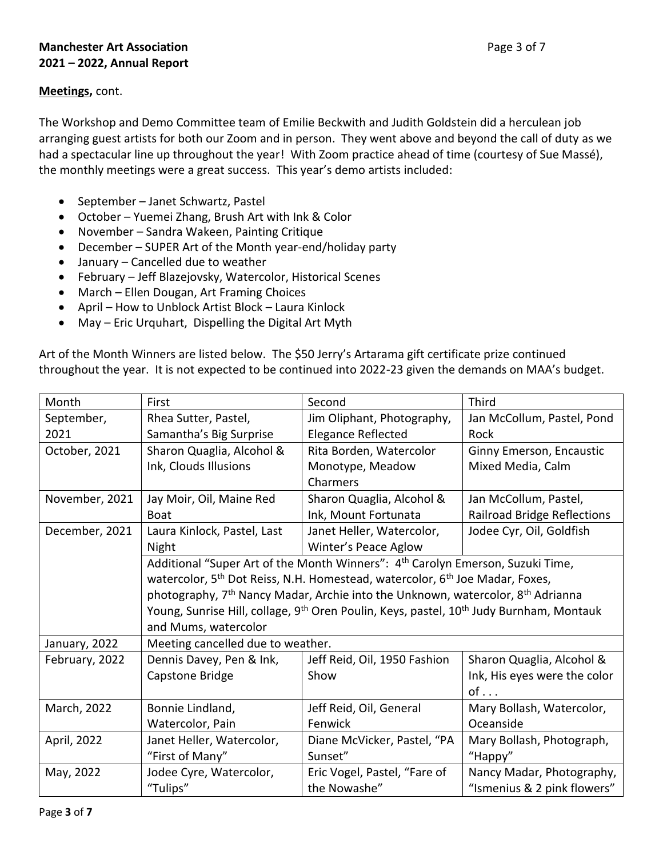## **Meetings,** cont.

The Workshop and Demo Committee team of Emilie Beckwith and Judith Goldstein did a herculean job arranging guest artists for both our Zoom and in person. They went above and beyond the call of duty as we had a spectacular line up throughout the year! With Zoom practice ahead of time (courtesy of Sue Massé), the monthly meetings were a great success. This year's demo artists included:

- September Janet Schwartz, Pastel
- October Yuemei Zhang, Brush Art with Ink & Color
- November Sandra Wakeen, Painting Critique
- December SUPER Art of the Month year-end/holiday party
- January Cancelled due to weather
- February Jeff Blazejovsky, Watercolor, Historical Scenes
- March Ellen Dougan, Art Framing Choices
- April How to Unblock Artist Block Laura Kinlock
- May Eric Urquhart, Dispelling the Digital Art Myth

Art of the Month Winners are listed below. The \$50 Jerry's Artarama gift certificate prize continued throughout the year. It is not expected to be continued into 2022-23 given the demands on MAA's budget.

| Month          | First                                                                                                                                                                                                                                                                                                                                                                                                                                                    | Second<br><b>Third</b>            |                                    |  |  |  |
|----------------|----------------------------------------------------------------------------------------------------------------------------------------------------------------------------------------------------------------------------------------------------------------------------------------------------------------------------------------------------------------------------------------------------------------------------------------------------------|-----------------------------------|------------------------------------|--|--|--|
| September,     | Rhea Sutter, Pastel,                                                                                                                                                                                                                                                                                                                                                                                                                                     | Jim Oliphant, Photography,        | Jan McCollum, Pastel, Pond         |  |  |  |
| 2021           | Samantha's Big Surprise                                                                                                                                                                                                                                                                                                                                                                                                                                  | <b>Elegance Reflected</b><br>Rock |                                    |  |  |  |
| October, 2021  | Sharon Quaglia, Alcohol &                                                                                                                                                                                                                                                                                                                                                                                                                                | Rita Borden, Watercolor           | Ginny Emerson, Encaustic           |  |  |  |
|                | Ink, Clouds Illusions                                                                                                                                                                                                                                                                                                                                                                                                                                    | Monotype, Meadow                  | Mixed Media, Calm                  |  |  |  |
|                |                                                                                                                                                                                                                                                                                                                                                                                                                                                          | Charmers                          |                                    |  |  |  |
| November, 2021 | Jay Moir, Oil, Maine Red                                                                                                                                                                                                                                                                                                                                                                                                                                 | Sharon Quaglia, Alcohol &         | Jan McCollum, Pastel,              |  |  |  |
|                | <b>Boat</b>                                                                                                                                                                                                                                                                                                                                                                                                                                              | Ink, Mount Fortunata              | <b>Railroad Bridge Reflections</b> |  |  |  |
| December, 2021 | Laura Kinlock, Pastel, Last                                                                                                                                                                                                                                                                                                                                                                                                                              | Janet Heller, Watercolor,         | Jodee Cyr, Oil, Goldfish           |  |  |  |
|                | Night                                                                                                                                                                                                                                                                                                                                                                                                                                                    | Winter's Peace Aglow              |                                    |  |  |  |
|                | Additional "Super Art of the Month Winners": 4 <sup>th</sup> Carolyn Emerson, Suzuki Time,<br>watercolor, 5 <sup>th</sup> Dot Reiss, N.H. Homestead, watercolor, 6 <sup>th</sup> Joe Madar, Foxes,<br>photography, 7 <sup>th</sup> Nancy Madar, Archie into the Unknown, watercolor, 8 <sup>th</sup> Adrianna<br>Young, Sunrise Hill, collage, 9 <sup>th</sup> Oren Poulin, Keys, pastel, 10 <sup>th</sup> Judy Burnham, Montauk<br>and Mums, watercolor |                                   |                                    |  |  |  |
|                |                                                                                                                                                                                                                                                                                                                                                                                                                                                          |                                   |                                    |  |  |  |
|                |                                                                                                                                                                                                                                                                                                                                                                                                                                                          |                                   |                                    |  |  |  |
|                |                                                                                                                                                                                                                                                                                                                                                                                                                                                          |                                   |                                    |  |  |  |
|                |                                                                                                                                                                                                                                                                                                                                                                                                                                                          |                                   |                                    |  |  |  |
| January, 2022  | Meeting cancelled due to weather.                                                                                                                                                                                                                                                                                                                                                                                                                        |                                   |                                    |  |  |  |
| February, 2022 | Dennis Davey, Pen & Ink,                                                                                                                                                                                                                                                                                                                                                                                                                                 | Jeff Reid, Oil, 1950 Fashion      | Sharon Quaglia, Alcohol &          |  |  |  |
|                | Capstone Bridge                                                                                                                                                                                                                                                                                                                                                                                                                                          | Show                              | Ink, His eyes were the color       |  |  |  |
|                |                                                                                                                                                                                                                                                                                                                                                                                                                                                          |                                   | $of \ldots$                        |  |  |  |
| March, 2022    | Bonnie Lindland,                                                                                                                                                                                                                                                                                                                                                                                                                                         | Jeff Reid, Oil, General           | Mary Bollash, Watercolor,          |  |  |  |
|                | Watercolor, Pain                                                                                                                                                                                                                                                                                                                                                                                                                                         | Fenwick                           | Oceanside                          |  |  |  |
| April, 2022    | Janet Heller, Watercolor,                                                                                                                                                                                                                                                                                                                                                                                                                                | Diane McVicker, Pastel, "PA       | Mary Bollash, Photograph,          |  |  |  |
|                | "First of Many"                                                                                                                                                                                                                                                                                                                                                                                                                                          | Sunset"                           | "Happy"                            |  |  |  |
| May, 2022      | Jodee Cyre, Watercolor,                                                                                                                                                                                                                                                                                                                                                                                                                                  | Eric Vogel, Pastel, "Fare of      | Nancy Madar, Photography,          |  |  |  |
|                | "Tulips"                                                                                                                                                                                                                                                                                                                                                                                                                                                 | the Nowashe"                      | "Ismenius & 2 pink flowers"        |  |  |  |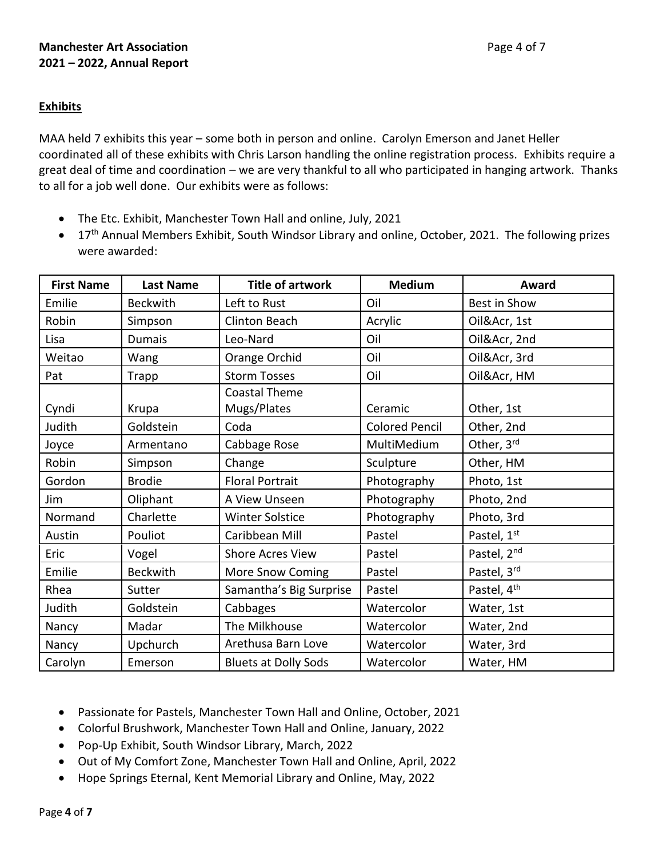# **Exhibits**

MAA held 7 exhibits this year – some both in person and online. Carolyn Emerson and Janet Heller coordinated all of these exhibits with Chris Larson handling the online registration process. Exhibits require a great deal of time and coordination – we are very thankful to all who participated in hanging artwork. Thanks to all for a job well done. Our exhibits were as follows:

- The Etc. Exhibit, Manchester Town Hall and online, July, 2021
- 17<sup>th</sup> Annual Members Exhibit, South Windsor Library and online, October, 2021. The following prizes were awarded:

| <b>First Name</b> | <b>Last Name</b> | <b>Title of artwork</b>     | <b>Medium</b>         | Award                   |
|-------------------|------------------|-----------------------------|-----------------------|-------------------------|
| Emilie            | <b>Beckwith</b>  | Left to Rust                | Oil                   | Best in Show            |
| Robin             | Simpson          | <b>Clinton Beach</b>        | Acrylic               | Oil&Acr, 1st            |
| Lisa              | <b>Dumais</b>    | Leo-Nard                    | Oil                   | Oil&Acr, 2nd            |
| Weitao            | Wang             | Orange Orchid               | Oil                   | Oil&Acr, 3rd            |
| Pat               | Trapp            | <b>Storm Tosses</b>         | Oil                   | Oil&Acr, HM             |
|                   |                  | Coastal Theme               |                       |                         |
| Cyndi             | Krupa            | Mugs/Plates                 | Ceramic               | Other, 1st              |
| Judith            | Goldstein        | Coda                        | <b>Colored Pencil</b> | Other, 2nd              |
| Joyce             | Armentano        | Cabbage Rose                | MultiMedium           | Other, 3rd              |
| Robin             | Simpson          | Change                      | Sculpture             | Other, HM               |
| Gordon            | <b>Brodie</b>    | <b>Floral Portrait</b>      | Photography           | Photo, 1st              |
| Jim               | Oliphant         | A View Unseen               | Photography           | Photo, 2nd              |
| Normand           | Charlette        | <b>Winter Solstice</b>      | Photography           | Photo, 3rd              |
| Austin            | Pouliot          | Caribbean Mill              | Pastel                | Pastel, 1st             |
| Eric              | Vogel            | <b>Shore Acres View</b>     | Pastel                | Pastel, 2nd             |
| Emilie            | <b>Beckwith</b>  | More Snow Coming            | Pastel                | Pastel, 3rd             |
| Rhea              | Sutter           | Samantha's Big Surprise     | Pastel                | Pastel, 4 <sup>th</sup> |
| Judith            | Goldstein        | Cabbages                    | Watercolor            | Water, 1st              |
| Nancy             | Madar            | The Milkhouse               | Watercolor            | Water, 2nd              |
| Nancy             | Upchurch         | Arethusa Barn Love          | Watercolor            | Water, 3rd              |
| Carolyn           | Emerson          | <b>Bluets at Dolly Sods</b> | Watercolor            | Water, HM               |

- Passionate for Pastels, Manchester Town Hall and Online, October, 2021
- Colorful Brushwork, Manchester Town Hall and Online, January, 2022
- Pop-Up Exhibit, South Windsor Library, March, 2022
- Out of My Comfort Zone, Manchester Town Hall and Online, April, 2022
- Hope Springs Eternal, Kent Memorial Library and Online, May, 2022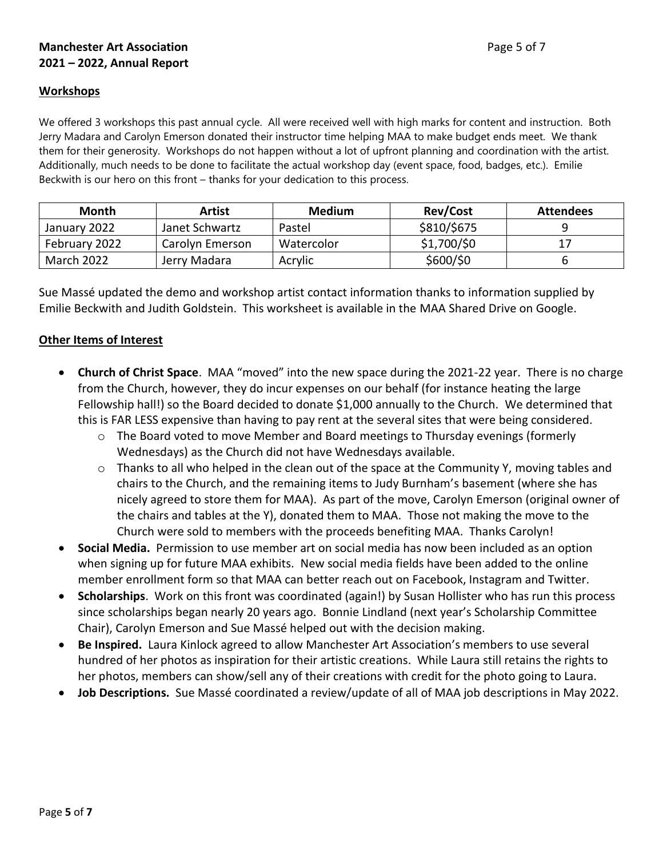# **Manchester Art Association Page 5 of 7 2021 – 2022, Annual Report**

#### **Workshops**

We offered 3 workshops this past annual cycle. All were received well with high marks for content and instruction. Both Jerry Madara and Carolyn Emerson donated their instructor time helping MAA to make budget ends meet. We thank them for their generosity. Workshops do not happen without a lot of upfront planning and coordination with the artist. Additionally, much needs to be done to facilitate the actual workshop day (event space, food, badges, etc.). Emilie Beckwith is our hero on this front – thanks for your dedication to this process.

| Month         | Artist          | <b>Medium</b> | <b>Rev/Cost</b> | <b>Attendees</b> |
|---------------|-----------------|---------------|-----------------|------------------|
| January 2022  | Janet Schwartz  | Pastel        | \$810/\$675     |                  |
| February 2022 | Carolyn Emerson | Watercolor    | \$1,700/\$0     |                  |
| March 2022    | Jerry Madara    | Acrylic       | \$600/\$0       |                  |

Sue Massé updated the demo and workshop artist contact information thanks to information supplied by Emilie Beckwith and Judith Goldstein. This worksheet is available in the MAA Shared Drive on Google.

### **Other Items of Interest**

- **Church of Christ Space**. MAA "moved" into the new space during the 2021-22 year. There is no charge from the Church, however, they do incur expenses on our behalf (for instance heating the large Fellowship hall!) so the Board decided to donate \$1,000 annually to the Church. We determined that this is FAR LESS expensive than having to pay rent at the several sites that were being considered.
	- $\circ$  The Board voted to move Member and Board meetings to Thursday evenings (formerly Wednesdays) as the Church did not have Wednesdays available.
	- $\circ$  Thanks to all who helped in the clean out of the space at the Community Y, moving tables and chairs to the Church, and the remaining items to Judy Burnham's basement (where she has nicely agreed to store them for MAA). As part of the move, Carolyn Emerson (original owner of the chairs and tables at the Y), donated them to MAA. Those not making the move to the Church were sold to members with the proceeds benefiting MAA. Thanks Carolyn!
- **Social Media.** Permission to use member art on social media has now been included as an option when signing up for future MAA exhibits. New social media fields have been added to the online member enrollment form so that MAA can better reach out on Facebook, Instagram and Twitter.
- **Scholarships**. Work on this front was coordinated (again!) by Susan Hollister who has run this process since scholarships began nearly 20 years ago. Bonnie Lindland (next year's Scholarship Committee Chair), Carolyn Emerson and Sue Massé helped out with the decision making.
- **Be Inspired.** Laura Kinlock agreed to allow Manchester Art Association's members to use several hundred of her photos as inspiration for their artistic creations. While Laura still retains the rights to her photos, members can show/sell any of their creations with credit for the photo going to Laura.
- **Job Descriptions.** Sue Massé coordinated a review/update of all of MAA job descriptions in May 2022.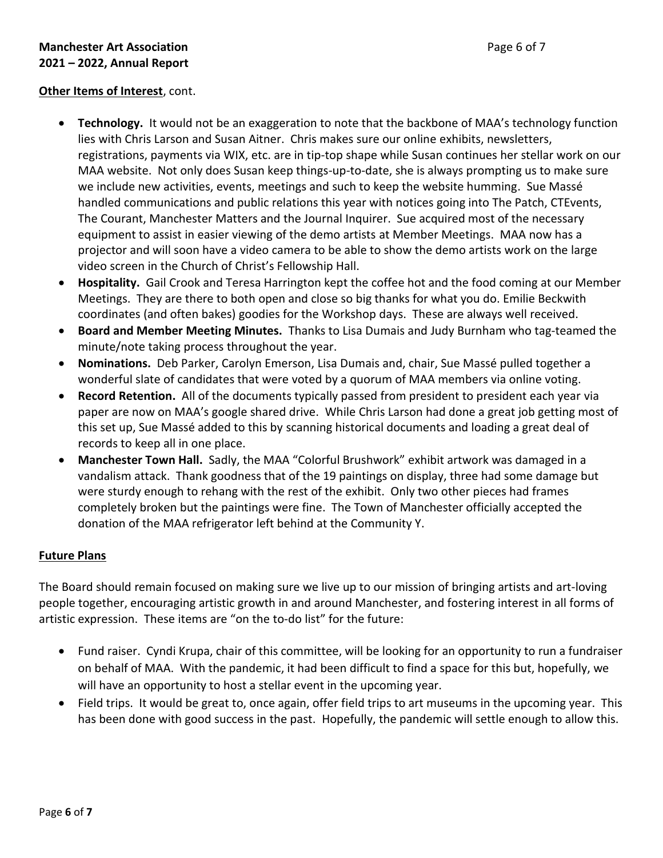# **Manchester Art Association Page 6 of 7 2021 – 2022, Annual Report**

### **Other Items of Interest**, cont.

- **Technology.** It would not be an exaggeration to note that the backbone of MAA's technology function lies with Chris Larson and Susan Aitner. Chris makes sure our online exhibits, newsletters, registrations, payments via WIX, etc. are in tip-top shape while Susan continues her stellar work on our MAA website. Not only does Susan keep things-up-to-date, she is always prompting us to make sure we include new activities, events, meetings and such to keep the website humming. Sue Massé handled communications and public relations this year with notices going into The Patch, CTEvents, The Courant, Manchester Matters and the Journal Inquirer. Sue acquired most of the necessary equipment to assist in easier viewing of the demo artists at Member Meetings. MAA now has a projector and will soon have a video camera to be able to show the demo artists work on the large video screen in the Church of Christ's Fellowship Hall.
- **Hospitality.** Gail Crook and Teresa Harrington kept the coffee hot and the food coming at our Member Meetings. They are there to both open and close so big thanks for what you do. Emilie Beckwith coordinates (and often bakes) goodies for the Workshop days. These are always well received.
- **Board and Member Meeting Minutes.** Thanks to Lisa Dumais and Judy Burnham who tag-teamed the minute/note taking process throughout the year.
- **Nominations.** Deb Parker, Carolyn Emerson, Lisa Dumais and, chair, Sue Massé pulled together a wonderful slate of candidates that were voted by a quorum of MAA members via online voting.
- **Record Retention.** All of the documents typically passed from president to president each year via paper are now on MAA's google shared drive. While Chris Larson had done a great job getting most of this set up, Sue Massé added to this by scanning historical documents and loading a great deal of records to keep all in one place.
- **Manchester Town Hall.** Sadly, the MAA "Colorful Brushwork" exhibit artwork was damaged in a vandalism attack. Thank goodness that of the 19 paintings on display, three had some damage but were sturdy enough to rehang with the rest of the exhibit. Only two other pieces had frames completely broken but the paintings were fine. The Town of Manchester officially accepted the donation of the MAA refrigerator left behind at the Community Y.

### **Future Plans**

The Board should remain focused on making sure we live up to our mission of bringing artists and art-loving people together, encouraging artistic growth in and around Manchester, and fostering interest in all forms of artistic expression. These items are "on the to-do list" for the future:

- Fund raiser. Cyndi Krupa, chair of this committee, will be looking for an opportunity to run a fundraiser on behalf of MAA. With the pandemic, it had been difficult to find a space for this but, hopefully, we will have an opportunity to host a stellar event in the upcoming year.
- Field trips. It would be great to, once again, offer field trips to art museums in the upcoming year. This has been done with good success in the past. Hopefully, the pandemic will settle enough to allow this.